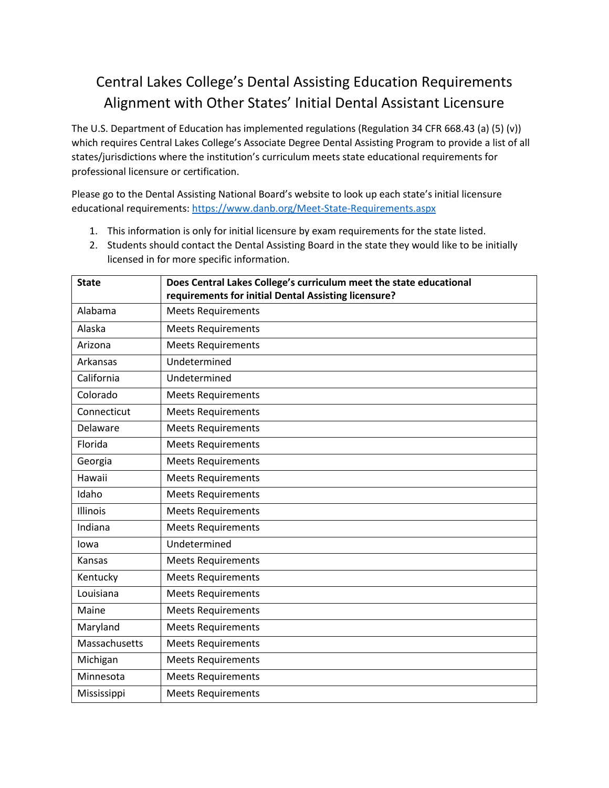## Central Lakes College's Dental Assisting Education Requirements Alignment with Other States' Initial Dental Assistant Licensure

The U.S. Department of Education has implemented regulations (Regulation 34 CFR 668.43 (a) (5) (v)) which requires Central Lakes College's Associate Degree Dental Assisting Program to provide a list of all states/jurisdictions where the institution's curriculum meets state educational requirements for professional licensure or certification.

Please go to the Dental Assisting National Board's website to look up each state's initial licensure educational requirements: <https://www.danb.org/Meet-State-Requirements.aspx>

- 1. This information is only for initial licensure by exam requirements for the state listed.
- 2. Students should contact the Dental Assisting Board in the state they would like to be initially licensed in for more specific information.

| <b>State</b>  | Does Central Lakes College's curriculum meet the state educational<br>requirements for initial Dental Assisting licensure? |
|---------------|----------------------------------------------------------------------------------------------------------------------------|
| Alabama       | <b>Meets Requirements</b>                                                                                                  |
| Alaska        | <b>Meets Requirements</b>                                                                                                  |
| Arizona       | <b>Meets Requirements</b>                                                                                                  |
| Arkansas      | Undetermined                                                                                                               |
| California    | Undetermined                                                                                                               |
| Colorado      | <b>Meets Requirements</b>                                                                                                  |
| Connecticut   | <b>Meets Requirements</b>                                                                                                  |
| Delaware      | <b>Meets Requirements</b>                                                                                                  |
| Florida       | <b>Meets Requirements</b>                                                                                                  |
| Georgia       | <b>Meets Requirements</b>                                                                                                  |
| Hawaii        | <b>Meets Requirements</b>                                                                                                  |
| Idaho         | <b>Meets Requirements</b>                                                                                                  |
| Illinois      | <b>Meets Requirements</b>                                                                                                  |
| Indiana       | <b>Meets Requirements</b>                                                                                                  |
| lowa          | Undetermined                                                                                                               |
| Kansas        | <b>Meets Requirements</b>                                                                                                  |
| Kentucky      | <b>Meets Requirements</b>                                                                                                  |
| Louisiana     | <b>Meets Requirements</b>                                                                                                  |
| Maine         | <b>Meets Requirements</b>                                                                                                  |
| Maryland      | <b>Meets Requirements</b>                                                                                                  |
| Massachusetts | <b>Meets Requirements</b>                                                                                                  |
| Michigan      | <b>Meets Requirements</b>                                                                                                  |
| Minnesota     | <b>Meets Requirements</b>                                                                                                  |
| Mississippi   | <b>Meets Requirements</b>                                                                                                  |